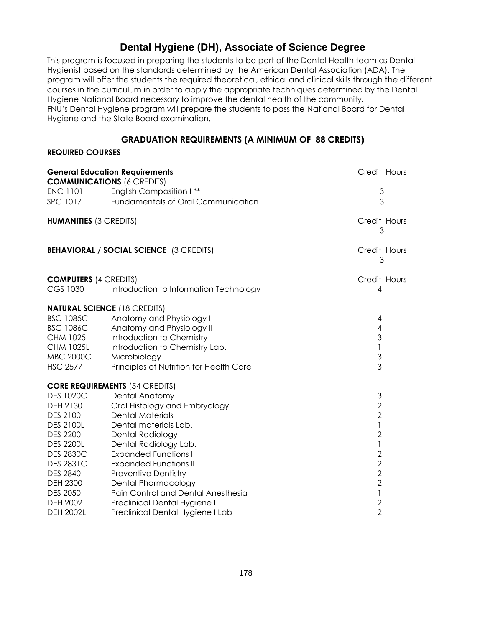## **Dental Hygiene (DH), Associate of Science Degree**

This program is focused in preparing the students to be part of the Dental Health team as Dental Hygienist based on the standards determined by the American Dental Association (ADA). The program will offer the students the required theoretical, ethical and clinical skills through the different courses in the curriculum in order to apply the appropriate techniques determined by the Dental Hygiene National Board necessary to improve the dental health of the community. FNU's Dental Hygiene program will prepare the students to pass the National Board for Dental Hygiene and the State Board examination.

## **GRADUATION REQUIREMENTS (A MINIMUM OF 88 CREDITS)**

## **REQUIRED COURSES**

| <b>General Education Requirements</b><br><b>COMMUNICATIONS (6 CREDITS)</b> |                                                | Credit Hours      |
|----------------------------------------------------------------------------|------------------------------------------------|-------------------|
| <b>ENC 1101</b>                                                            | English Composition I**                        | 3                 |
| <b>SPC 1017</b>                                                            | Fundamentals of Oral Communication             | 3                 |
|                                                                            |                                                |                   |
| <b>HUMANITIES (3 CREDITS)</b>                                              |                                                | Credit Hours<br>3 |
|                                                                            | <b>BEHAVIORAL / SOCIAL SCIENCE (3 CREDITS)</b> | Credit Hours<br>3 |
| <b>COMPUTERS (4 CREDITS)</b>                                               |                                                | Credit Hours      |
| <b>CGS 1030</b>                                                            | Introduction to Information Technology         | 4                 |
|                                                                            | <b>NATURAL SCIENCE (18 CREDITS)</b>            |                   |
| <b>BSC 1085C</b>                                                           | Anatomy and Physiology I                       | 4                 |
| <b>BSC 1086C</b>                                                           | Anatomy and Physiology II                      | $\overline{4}$    |
| <b>CHM 1025</b>                                                            | Introduction to Chemistry                      | $\mathfrak 3$     |
| <b>CHM 1025L</b>                                                           | Introduction to Chemistry Lab.                 | $\mathbf{I}$      |
| <b>MBC 2000C</b>                                                           | Microbiology                                   | $\mathfrak{S}$    |
| <b>HSC 2577</b>                                                            | Principles of Nutrition for Health Care        | 3                 |
|                                                                            | <b>CORE REQUIREMENTS (54 CREDITS)</b>          |                   |
| <b>DES 1020C</b>                                                           | <b>Dental Anatomy</b>                          | 3                 |
| DEH 2130                                                                   | Oral Histology and Embryology                  | $\overline{2}$    |
| <b>DES 2100</b>                                                            | <b>Dental Materials</b>                        | $\overline{2}$    |
| <b>DES 2100L</b>                                                           | Dental materials Lab.                          | 1                 |
| <b>DES 2200</b>                                                            | Dental Radiology                               | $\overline{2}$    |
| <b>DES 2200L</b>                                                           | Dental Radiology Lab.                          | 1                 |
| <b>DES 2830C</b>                                                           | <b>Expanded Functions I</b>                    | $\sqrt{2}$        |
| <b>DES 2831C</b>                                                           | <b>Expanded Functions II</b>                   | $\mathbf{2}$      |
| <b>DES 2840</b>                                                            | <b>Preventive Dentistry</b>                    | $\overline{2}$    |
| <b>DEH 2300</b>                                                            | <b>Dental Pharmacology</b>                     | $\overline{2}$    |
| <b>DES 2050</b>                                                            | Pain Control and Dental Anesthesia             | $\mathbf{I}$      |
| <b>DEH 2002</b>                                                            | Preclinical Dental Hygiene I                   | $\mathbf{2}$      |
| <b>DEH 2002L</b>                                                           | Preclinical Dental Hygiene I Lab               | $\overline{2}$    |